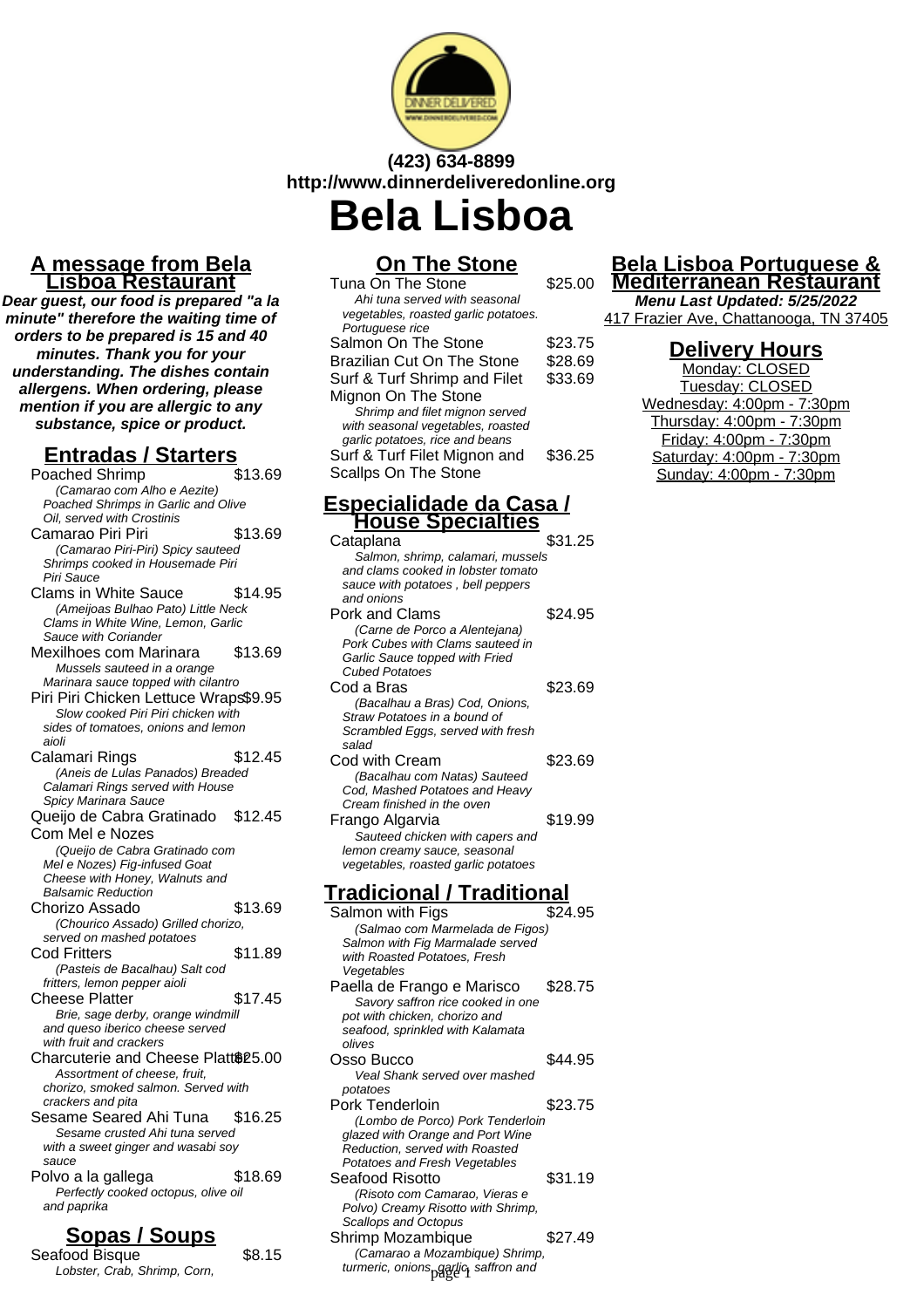

# **(423) 634-8899 http://www.dinnerdeliveredonline.org Bela Lisboa**

#### **A message from Bela Lisboa Restaurant**

**Dear guest, our food is prepared "a la minute" therefore the waiting time of orders to be prepared is 15 and 40 minutes. Thank you for your understanding. The dishes contain allergens. When ordering, please mention if you are allergic to any substance, spice or product.**

### **Entradas / Starters**

| <b>Poached Shrimp</b>                                           | \$13.69 |
|-----------------------------------------------------------------|---------|
| (Camarao com Alho e Aezite)                                     |         |
| Poached Shrimps in Garlic and Olive                             |         |
| Oil, served with Crostinis                                      |         |
| Camarao Piri Piri                                               | \$13.69 |
| (Camarao Piri-Piri) Spicy sauteed                               |         |
| Shrimps cooked in Housemade Piri                                |         |
| Piri Sauce                                                      |         |
| <b>Clams in White Sauce</b>                                     | \$14.95 |
| (Ameijoas Bulhao Pato) Little Neck                              |         |
| Clams in White Wine, Lemon, Garlic                              |         |
| Sauce with Coriander                                            |         |
| Mexilhoes com Marinara                                          | \$13.69 |
| Mussels sauteed in a orange                                     |         |
| Marinara sauce topped with cilantro                             |         |
| Piri Piri Chicken Lettuce Wraps\$9.95                           |         |
| Slow cooked Piri Piri chicken with                              |         |
| sides of tomatoes, onions and lemon<br>aioli                    |         |
| Calamari Rings                                                  | \$12.45 |
| (Aneis de Lulas Panados) Breaded                                |         |
| Calamari Rings served with House                                |         |
| Spicy Marinara Sauce                                            |         |
| Queijo de Cabra Gratinado                                       | \$12.45 |
| Com Mel e Nozes                                                 |         |
|                                                                 |         |
|                                                                 |         |
| (Queijo de Cabra Gratinado com                                  |         |
| Mel e Nozes) Fig-infused Goat<br>Cheese with Honey, Walnuts and |         |
| <b>Balsamic Reduction</b>                                       |         |
| Chorizo Assado                                                  | \$13.69 |
| (Chourico Assado) Grilled chorizo,                              |         |
| served on mashed potatoes                                       |         |
| <b>Cod Fritters</b>                                             | \$11.89 |
| (Pasteis de Bacalhau) Salt cod                                  |         |
| fritters, lemon pepper aioli                                    |         |
| <b>Cheese Platter</b>                                           | \$17.45 |
| Brie, sage derby, orange windmill                               |         |
| and queso iberico cheese served                                 |         |
| with fruit and crackers                                         |         |
| Charcuterie and Cheese Platt®25.00                              |         |
| Assortment of cheese, fruit,                                    |         |
| chorizo, smoked salmon. Served with                             |         |
| crackers and pita                                               |         |
| Sesame Seared Ahi Tuna                                          | \$16.25 |
| Sesame crusted Ahi tuna served                                  |         |
| with a sweet ginger and wasabi soy                              |         |
| sauce                                                           |         |
| Polvo a la gallega                                              | \$18.69 |
| Perfectly cooked octopus, olive oil<br>and paprika              |         |

### **Sopas / Soups**

Seafood Bisque **\$8.15** Lobster, Crab, Shrimp, Corn,

### **On The Stone**

| Tuna On The Stone                    | \$25.00 |
|--------------------------------------|---------|
| Ahi tuna served with seasonal        |         |
| vegetables, roasted garlic potatoes. |         |
| Portuguese rice                      |         |
| Salmon On The Stone                  | \$23.75 |
| <b>Brazilian Cut On The Stone</b>    | \$28.69 |
| Surf & Turf Shrimp and Filet         | \$33.69 |
| Mignon On The Stone                  |         |
| Shrimp and filet mignon served       |         |
| with seasonal vegetables, roasted    |         |
| garlic potatoes, rice and beans      |         |
| Surf & Turf Filet Mignon and         | \$36.25 |
| <b>Scallps On The Stone</b>          |         |

#### **Especialidade da Casa / House Specialties**

| Cataplana                           | \$31.25 |
|-------------------------------------|---------|
| Salmon, shrimp, calamari, mussels   |         |
| and clams cooked in lobster tomato  |         |
| sauce with potatoes, bell peppers   |         |
| and onions                          |         |
| Pork and Clams                      | \$24.95 |
| (Carne de Porco a Alentejana)       |         |
| Pork Cubes with Clams sauteed in    |         |
| Garlic Sauce topped with Fried      |         |
| <b>Cubed Potatoes</b>               |         |
| Cod a Bras                          | \$23.69 |
| (Bacalhau a Bras) Cod, Onions,      |         |
| Straw Potatoes in a bound of        |         |
| Scrambled Eggs, served with fresh   |         |
| salad                               |         |
| Cod with Cream                      | \$23.69 |
| (Bacalhau com Natas) Sauteed        |         |
| Cod, Mashed Potatoes and Heavy      |         |
| Cream finished in the oven          |         |
| Frango Algarvia                     | \$19.99 |
| Sauteed chicken with capers and     |         |
| lemon creamy sauce, seasonal        |         |
| vegetables, roasted garlic potatoes |         |
|                                     |         |
| <b>Tradicional / Traditional</b>    |         |
| Salmon with Figs                    | \$24.95 |
| (Salmao com Marmelada de Figos)     |         |
| Salmon with Fig Marmalade served    |         |
| with Roasted Potatoes, Fresh        |         |

Vegetables Paella de Frango e Marisco \$28.75 Savory saffron rice cooked in one pot with chicken, chorizo and seafood, sprinkled with Kalamata olives Osso Bucco \$44.95 Veal Shank served over mashed potatoes Pork Tenderloin \$23.75 (Lombo de Porco) Pork Tenderloin glazed with Orange and Port Wine Reduction, served with Roasted Potatoes and Fresh Vegetables Seafood Risotto \$31.19 (Risoto com Camarao, Vieras e Polvo) Creamy Risotto with Shrimp, Scallops and Octopus Shrimp Mozambique \$27.49 (Camarao a Mozambique) Shrimp, turmeric, onions<sub>p</sub>garliq, saffron and

### **Bela Lisboa Portuguese & Mediterranean Restaurant**

**Menu Last Updated: 5/25/2022** 417 Frazier Ave, Chattanooga, TN 37405

#### **Delivery Hours**

Monday: CLOSED Tuesday: CLOSED Wednesday: 4:00pm - 7:30pm Thursday: 4:00pm - 7:30pm Friday: 4:00pm - 7:30pm Saturday: 4:00pm - 7:30pm Sunday: 4:00pm - 7:30pm